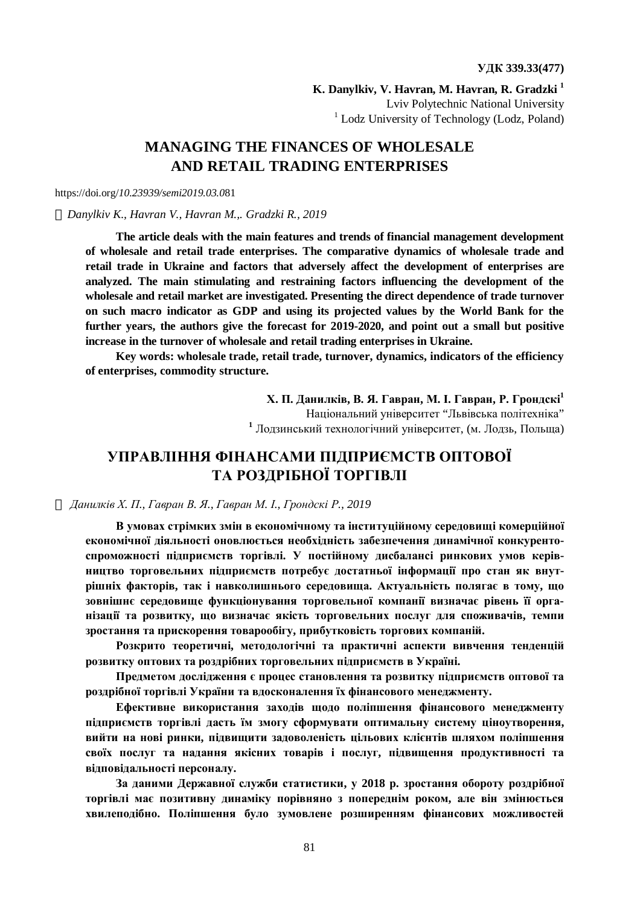**K. Danylkiv, V. Havran, M. Havran, R. Gradzki <sup>1</sup>** Lviv Polytechnic National University <sup>1</sup> Lodz University of Technology (Lodz, Poland)

# **MANAGING THE FINANCES OF WHOLESALE AND RETAIL TRADING ENTERPRISES**

### https://doi.org/*10.23939/semi2019.03.0*81

#### *ã Danylkiv K., Havran V., Havran M.,. Gradzki R., 2019*

**The article deals with the main features and trends of financial management development of wholesale and retail trade enterprises. The comparative dynamics of wholesale trade and retail trade in Ukraine and factors that adversely affect the development of enterprises are analyzed. The main stimulating and restraining factors influencing the development of the wholesale and retail market are investigated. Presenting the direct dependence of trade turnover on such macro indicator as GDP and using its projected values by the World Bank for the further years, the authors give the forecast for 2019-2020, and point out a small but positive increase in the turnover of wholesale and retail trading enterprises in Ukraine.** 

**Key words: wholesale trade, retail trade, turnover, dynamics, indicators of the efficiency of enterprises, commodity structure.** 

> **Х. П. Данилків, В. Я. Гавран, М. І. Гавран, Р. Грондскі<sup>1</sup>** Національний університет "Львівська політехніка" **<sup>1</sup>** Лодзинський технологічний університет, (м. Лодзь, Польща)

# **УПРАВЛІННЯ ФІНАНСАМИ ПІДПРИЄМСТВ ОПТОВОЇ ТА РОЗДРІБНОЇ ТОРГІВЛІ**

#### *ã Данилків Х. П., Гавран В. Я., Гавран М. І., Грондскі Р., 2019*

**В умовах стрімких змін в економічному та інституційному середовищі комерційної економічної діяльності оновлюється необхідність забезпечення динамічної конкурентоспроможності підприємств торгівлі. У постійному дисбалансі ринкових умов керівництво торговельних підприємств потребує достатньої інформації про стан як внутрішніх факторів, так і навколишнього середовища. Актуальність полягає в тому, що зовнішнє середовище функціонування торговельної компанії визначає рівень її організації та розвитку, що визначає якість торговельних послуг для споживачів, темпи зростання та прискорення товарообігу, прибутковість торгових компаній.** 

**Розкрито теоретичні, методологічні та практичні аспекти вивчення тенденцій розвитку оптових та роздрібних торговельних підприємств в Україні.** 

**Предметом дослідження є процес становлення та розвитку підприємств оптової та роздрібної торгівлі України та вдосконалення їх фінансового менеджменту.** 

**Ефективне використання заходів щодо поліпшення фінансового менеджменту підприємств торгівлі дасть їм змогу сформувати оптимальну систему ціноутворення, вийти на нові ринки, підвищити задоволеність цільових клієнтів шляхом поліпшення своїх послуг та надання якісних товарів і послуг, підвищення продуктивності та відповідальності персоналу.** 

**За даними Державної служби статистики, у 2018 р. зростання обороту роздрібної торгівлі має позитивну динаміку порівняно з попереднім роком, але він змінюється хвилеподібно. Поліпшення було зумовлене розширенням фінансових можливостей**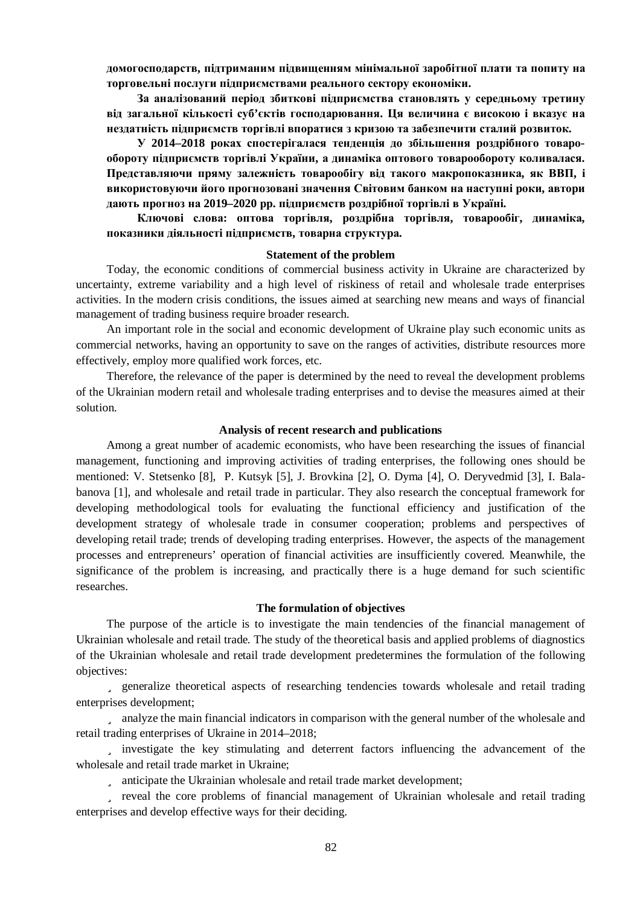**домогосподарств, підтриманим підвищенням мінімальної заробітної плати та попиту на торговельні послуги підприємствами реального сектору економіки.** 

**За аналізований період збиткові підприємства становлять у середньому третину від загальної кількості суб'єктів господарювання. Ця величина є високою і вказує на нездатність підприємств торгівлі впоратися з кризою та забезпечити сталий розвиток.** 

**У 2014–2018 роках спостерігалася тенденція до збільшення роздрібного товарообороту підприємств торгівлі України, а динаміка оптового товарообороту коливалася. Представляючи пряму залежність товарообігу від такого макропоказника, як ВВП, і використовуючи його прогнозовані значення Світовим банком на наступні роки, автори дають прогноз на 2019–2020 рр. підприємств роздрібної торгівлі в Україні.** 

**Ключові слова: оптова торгівля, роздрібна торгівля, товарообіг, динаміка, показники діяльності підприємств, товарна структура.** 

#### **Statement of the problem**

Today, the economic conditions of commercial business activity in Ukraine are characterized by uncertainty, extreme variability and a high level of riskiness of retail and wholesale trade enterprises activities. In the modern crisis conditions, the issues aimed at searching new means and ways of financial management of trading business require broader research.

An important role in the social and economic development of Ukraine play such economic units as commercial networks, having an opportunity to save on the ranges of activities, distribute resources more effectively, employ more qualified work forces, etc.

Therefore, the relevance of the paper is determined by the need to reveal the development problems of the Ukrainian modern retail and wholesale trading enterprises and to devise the measures aimed at their solution.

### **Analysis of recent research and publications**

Among a great number of academic economists, who have been researching the issues of financial management, functioning and improving activities of trading enterprises, the following ones should be mentioned: V. Stetsenko [8], P. Kutsyk [5], J. Brovkina [2], O. Dyma [4], O. Deryvedmid [3], I. Balabanova [1], and wholesale and retail trade in particular. They also research the conceptual framework for developing methodological tools for evaluating the functional efficiency and justification of the development strategy of wholesale trade in consumer cooperation; problems and perspectives of developing retail trade; trends of developing trading enterprises. However, the aspects of the management processes and entrepreneurs' operation of financial activities are insufficiently covered. Meanwhile, the significance of the problem is increasing, and practically there is a huge demand for such scientific researches.

#### **The formulation of objectives**

The purpose of the article is to investigate the main tendencies of the financial management of Ukrainian wholesale and retail trade. The study of the theoretical basis and applied problems of diagnostics of the Ukrainian wholesale and retail trade development predetermines the formulation of the following objectives:

ü generalize theoretical aspects of researching tendencies towards wholesale and retail trading enterprises development;

ü analyze the main financial indicators in comparison with the general number of the wholesale and retail trading enterprises of Ukraine in 2014–2018;

ü investigate the key stimulating and deterrent factors influencing the advancement of the wholesale and retail trade market in Ukraine;

ü anticipate the Ukrainian wholesale and retail trade market development;

ü reveal the core problems of financial management of Ukrainian wholesale and retail trading enterprises and develop effective ways for their deciding.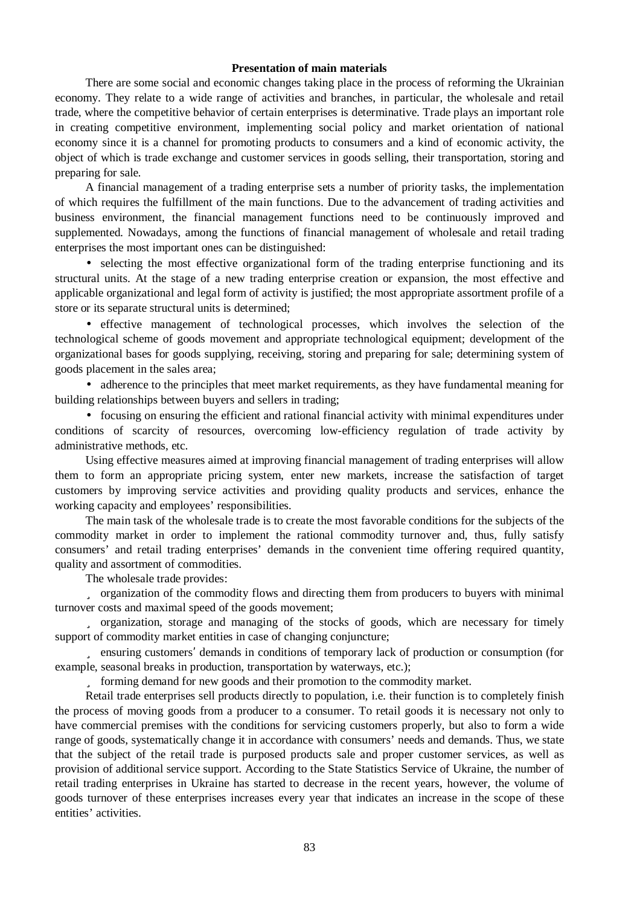### **Presentation of main materials**

There are some social and economic changes taking place in the process of reforming the Ukrainian economy. They relate to a wide range of activities and branches, in particular, the wholesale and retail trade, where the competitive behavior of certain enterprises is determinative. Trade plays an important role in creating competitive environment, implementing social policy and market orientation of national economy since it is a channel for promoting products to consumers and a kind of economic activity, the object of which is trade exchange and customer services in goods selling, their transportation, storing and preparing for sale.

A financial management of a trading enterprise sets a number of priority tasks, the implementation of which requires the fulfillment of the main functions. Due to the advancement of trading activities and business environment, the financial management functions need to be continuously improved and supplemented. Nowadays, among the functions of financial management of wholesale and retail trading enterprises the most important ones can be distinguished:

• selecting the most effective organizational form of the trading enterprise functioning and its structural units. At the stage of a new trading enterprise creation or expansion, the most effective and applicable organizational and legal form of activity is justified; the most appropriate assortment profile of a store or its separate structural units is determined;

• effective management of technological processes, which involves the selection of the technological scheme of goods movement and appropriate technological equipment; development of the organizational bases for goods supplying, receiving, storing and preparing for sale; determining system of goods placement in the sales area;

• adherence to the principles that meet market requirements, as they have fundamental meaning for building relationships between buyers and sellers in trading;

• focusing on ensuring the efficient and rational financial activity with minimal expenditures under conditions of scarcity of resources, overcoming low-efficiency regulation of trade activity by administrative methods, etc.

Using effective measures aimed at improving financial management of trading enterprises will allow them to form an appropriate pricing system, enter new markets, increase the satisfaction of target customers by improving service activities and providing quality products and services, enhance the working capacity and employees' responsibilities.

The main task of the wholesale trade is to create the most favorable conditions for the subjects of the commodity market in order to implement the rational commodity turnover and, thus, fully satisfy consumers' and retail trading enterprises' demands in the convenient time offering required quantity, quality and assortment of commodities.

The wholesale trade provides:

ü organization of the commodity flows and directing them from producers to buyers with minimal turnover costs and maximal speed of the goods movement;

ü organization, storage and managing of the stocks of goods, which are necessary for timely support of commodity market entities in case of changing conjuncture;

ü ensuring customers' demands in conditions of temporary lack of production or consumption (for example, seasonal breaks in production, transportation by waterways, etc.);

ü forming demand for new goods and their promotion to the commodity market.

Retail trade enterprises sell products directly to population, i.e. their function is to completely finish the process of moving goods from a producer to a consumer. To retail goods it is necessary not only to have commercial premises with the conditions for servicing customers properly, but also to form a wide range of goods, systematically change it in accordance with consumers' needs and demands. Thus, we state that the subject of the retail trade is purposed products sale and proper customer services, as well as provision of additional service support. According to the State Statistics Service of Ukraine, the number of retail trading enterprises in Ukraine has started to decrease in the recent years, however, the volume of goods turnover of these enterprises increases every year that indicates an increase in the scope of these entities' activities.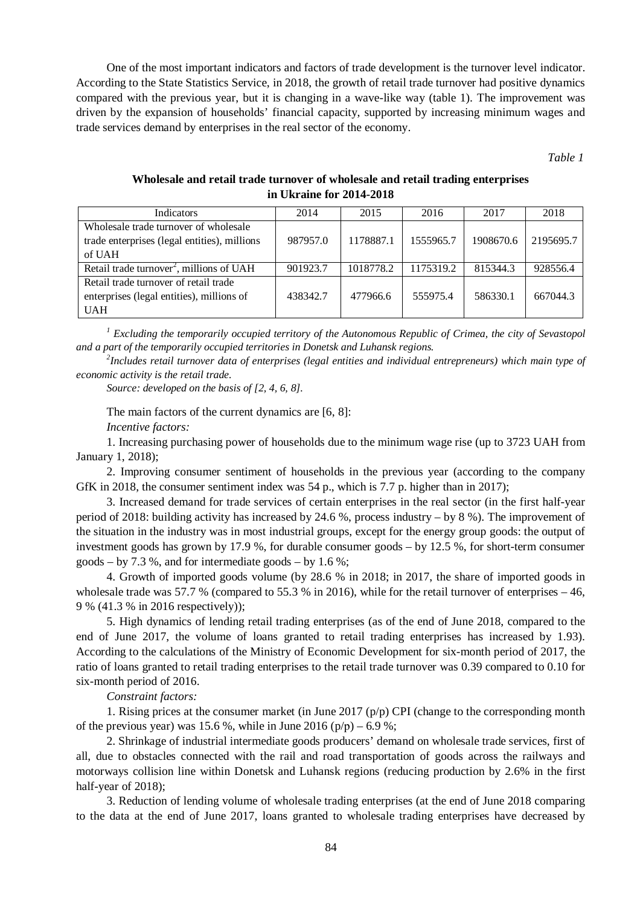One of the most important indicators and factors of trade development is the turnover level indicator. According to the State Statistics Service, in 2018, the growth of retail trade turnover had positive dynamics compared with the previous year, but it is changing in a wave-like way (table 1). The improvement was driven by the expansion of households' financial capacity, supported by increasing minimum wages and trade services demand by enterprises in the real sector of the economy.

*Table 1* 

## **Wholesale and retail trade turnover of wholesale and retail trading enterprises in Ukraine for 2014-2018**

| Indicators                                                                                       | 2014     | 2015      | 2016      | 2017      | 2018      |
|--------------------------------------------------------------------------------------------------|----------|-----------|-----------|-----------|-----------|
| Wholesale trade turnover of wholesale<br>trade enterprises (legal entities), millions            | 987957.0 | 1178887.1 | 1555965.7 | 1908670.6 | 2195695.7 |
| of UAH                                                                                           |          |           |           |           |           |
| Retail trade turnover <sup>2</sup> , millions of UAH                                             | 901923.7 | 1018778.2 | 1175319.2 | 815344.3  | 928556.4  |
| Retail trade turnover of retail trade<br>enterprises (legal entities), millions of<br><b>UAH</b> | 438342.7 | 477966.6  | 555975.4  | 586330.1  | 667044.3  |

*<sup>1</sup> Excluding the temporarily occupied territory of the Autonomous Republic of Crimea, the city of Sevastopol and a part of the temporarily occupied territories in Donetsk and Luhansk regions.* 

*2 Includes retail turnover data of enterprises (legal entities and individual entrepreneurs) which main type of economic activity is the retail trade.* 

*Source: developed on the basis of [2, 4, 6, 8].* 

The main factors of the current dynamics are [6, 8]:

*Incentive factors:* 

1. Increasing purchasing power of households due to the minimum wage rise (up to 3723 UAH from January 1, 2018);

2. Improving consumer sentiment of households in the previous year (according to the company GfK in 2018, the consumer sentiment index was 54 p., which is 7.7 p. higher than in 2017);

3. Increased demand for trade services of certain enterprises in the real sector (in the first half-year period of 2018: building activity has increased by 24.6 %, process industry – by 8 %). The improvement of the situation in the industry was in most industrial groups, except for the energy group goods: the output of investment goods has grown by 17.9 %, for durable consumer goods – by 12.5 %, for short-term consumer goods – by 7.3 %, and for intermediate goods – by 1.6 %;

4. Growth of imported goods volume (by 28.6 % in 2018; in 2017, the share of imported goods in wholesale trade was 57.7 % (compared to 55.3 % in 2016), while for the retail turnover of enterprises – 46, 9 % (41.3 % in 2016 respectively));

5. High dynamics of lending retail trading enterprises (as of the end of June 2018, compared to the end of June 2017, the volume of loans granted to retail trading enterprises has increased by 1.93). According to the calculations of the Ministry of Economic Development for six-month period of 2017, the ratio of loans granted to retail trading enterprises to the retail trade turnover was 0.39 compared to 0.10 for six-month period of 2016.

*Constraint factors:* 

1. Rising prices at the consumer market (in June 2017 (p/p) CPI (change to the corresponding month of the previous year) was 15.6 %, while in June 2016 (p/p) – 6.9 %;

2. Shrinkage of industrial intermediate goods producers' demand on wholesale trade services, first of all, due to obstacles connected with the rail and road transportation of goods across the railways and motorways collision line within Donetsk and Luhansk regions (reducing production by 2.6% in the first half-year of 2018):

3. Reduction of lending volume of wholesale trading enterprises (at the end of June 2018 comparing to the data at the end of June 2017, loans granted to wholesale trading enterprises have decreased by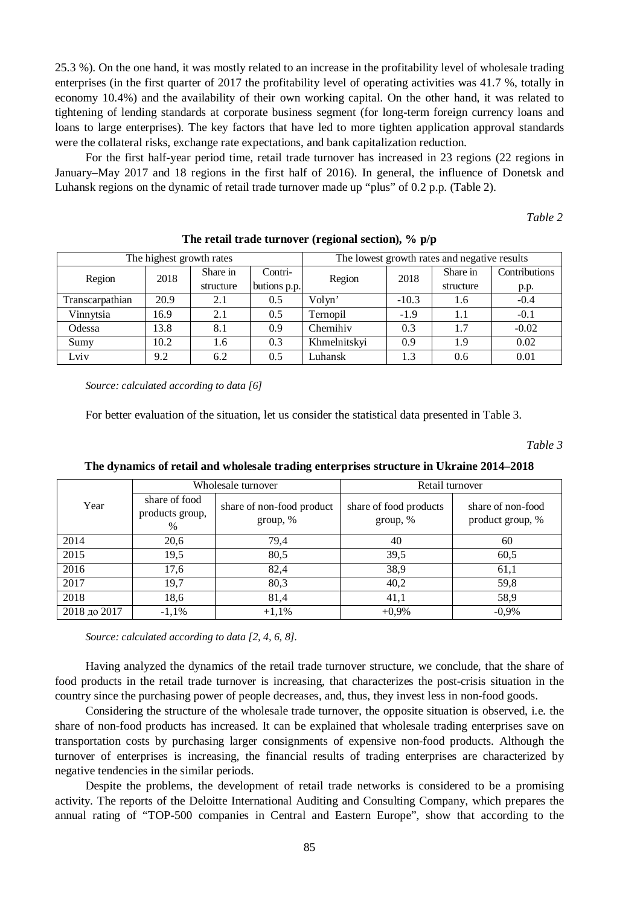25.3 %). On the one hand, it was mostly related to an increase in the profitability level of wholesale trading enterprises (in the first quarter of 2017 the profitability level of operating activities was 41.7 %, totally in economy 10.4%) and the availability of their own working capital. On the other hand, it was related to tightening of lending standards at corporate business segment (for long-term foreign currency loans and loans to large enterprises). The key factors that have led to more tighten application approval standards were the collateral risks, exchange rate expectations, and bank capitalization reduction.

For the first half-year period time, retail trade turnover has increased in 23 regions (22 regions in January–May 2017 and 18 regions in the first half of 2016). In general, the influence of Donetsk and Luhansk regions on the dynamic of retail trade turnover made up "plus" of 0.2 p.p. (Table 2).

*Table 2* 

| The highest growth rates |      |           |              | The lowest growth rates and negative results |         |           |               |
|--------------------------|------|-----------|--------------|----------------------------------------------|---------|-----------|---------------|
| Region                   | 2018 | Share in  | Contri-      | Region                                       | 2018    | Share in  | Contributions |
|                          |      | structure | butions p.p. |                                              |         | structure | p.p.          |
| Transcarpathian          | 20.9 | 2.1       | 0.5          | Volyn'                                       | $-10.3$ | 1.6       | $-0.4$        |
| Vinnytsia                | 16.9 | 2.1       | 0.5          | Ternopil                                     | $-1.9$  | 1.1       | $-0.1$        |
| Odessa                   | 13.8 | 8.1       | 0.9          | Chernihiv                                    | 0.3     | 1.7       | $-0.02$       |
| Sumy                     | 10.2 | 1.6       | 0.3          | Khmelnitskyi                                 | 0.9     | 1.9       | 0.02          |
| Lviv                     | 9.2  | 6.2       | 0.5          | Luhansk                                      | 1.3     | 0.6       | 0.01          |

**The retail trade turnover (regional section), % p/p** 

*Source: calculated according to data [6]* 

For better evaluation of the situation, let us consider the statistical data presented in Table 3.

*Table 3* 

|              |                                       | Wholesale turnover                    | Retail turnover                    |                                       |  |
|--------------|---------------------------------------|---------------------------------------|------------------------------------|---------------------------------------|--|
| Year         | share of food<br>products group,<br>% | share of non-food product<br>group, % | share of food products<br>group, % | share of non-food<br>product group, % |  |
| 2014         | 20,6                                  | 79,4                                  | 40                                 | 60                                    |  |
| 2015         | 19,5                                  | 80,5                                  | 39,5                               | 60,5                                  |  |
| 2016         | 17,6                                  | 82,4                                  | 38,9                               | 61,1                                  |  |
| 2017         | 19,7                                  | 80,3                                  | 40,2                               | 59,8                                  |  |
| 2018         | 18,6                                  | 81,4                                  | 41,1                               | 58,9                                  |  |
| 2018 до 2017 | $-1,1%$                               | $+1,1%$                               | $+0,9%$                            | $-0.9\%$                              |  |

**The dynamics of retail and wholesale trading enterprises structure in Ukraine 2014–2018** 

*Source: calculated according to data [2, 4, 6, 8].* 

Having analyzed the dynamics of the retail trade turnover structure, we conclude, that the share of food products in the retail trade turnover is increasing, that characterizes the post-crisis situation in the country since the purchasing power of people decreases, and, thus, they invest less in non-food goods.

Considering the structure of the wholesale trade turnover, the opposite situation is observed, i.e. the share of non-food products has increased. It can be explained that wholesale trading enterprises save on transportation costs by purchasing larger consignments of expensive non-food products. Although the turnover of enterprises is increasing, the financial results of trading enterprises are characterized by negative tendencies in the similar periods.

Despite the problems, the development of retail trade networks is considered to be a promising activity. The reports of the Deloitte International Auditing and Consulting Company, which prepares the annual rating of "TOP-500 companies in Central and Eastern Europe", show that according to the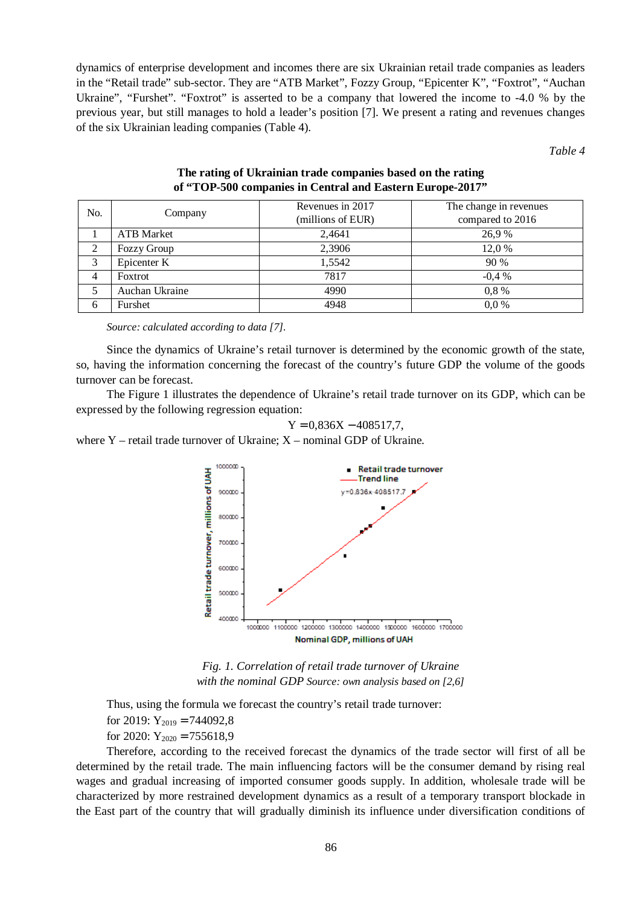dynamics of enterprise development and incomes there are six Ukrainian retail trade companies as leaders in the "Retail trade" sub-sector. They are "ATB Market", Fozzy Group, "Epicenter K", "Foxtrot", "Auchan Ukraine", "Furshet". "Foxtrot" is asserted to be a company that lowered the income to -4.0 % by the previous year, but still manages to hold a leader's position [7]. We present a rating and revenues changes of the six Ukrainian leading companies (Table 4).

*Table 4* 

| No.            | Company           | Revenues in 2017  | The change in revenues |  |
|----------------|-------------------|-------------------|------------------------|--|
|                |                   | (millions of EUR) | compared to 2016       |  |
|                | <b>ATB</b> Market | 2,4641            | 26.9%                  |  |
| $\overline{2}$ | Fozzy Group       | 2.3906            | 12,0%                  |  |
| 3              | Epicenter K       | 1,5542            | 90%                    |  |
| 4              | Foxtrot           | 7817              | $-0.4\%$               |  |
|                | Auchan Ukraine    | 4990              | $0.8\%$                |  |
| 6              | Furshet           | 4948              | $0.0\%$                |  |

## **The rating of Ukrainian trade companies based on the rating of "TOP-500 companies in Central and Eastern Europe-2017"**

*Source: calculated according to data [7].* 

Since the dynamics of Ukraine's retail turnover is determined by the economic growth of the state, so, having the information concerning the forecast of the country's future GDP the volume of the goods turnover can be forecast.

The Figure 1 illustrates the dependence of Ukraine's retail trade turnover on its GDP, which can be expressed by the following regression equation:

 $Y = 0.836X - 408517.7$ 

where  $Y$  – retail trade turnover of Ukraine;  $X$  – nominal GDP of Ukraine.



*Fig. 1. Correlation of retail trade turnover of Ukraine with the nominal GDP Source: own analysis based on [2,6]* 

Thus, using the formula we forecast the country's retail trade turnover: for 2019:  $Y_{2019} = 744092,8$ for 2020:  $Y_{2020} = 755618.9$ 

Therefore, according to the received forecast the dynamics of the trade sector will first of all be determined by the retail trade. The main influencing factors will be the consumer demand by rising real wages and gradual increasing of imported consumer goods supply. In addition, wholesale trade will be characterized by more restrained development dynamics as a result of a temporary transport blockade in the East part of the country that will gradually diminish its influence under diversification conditions of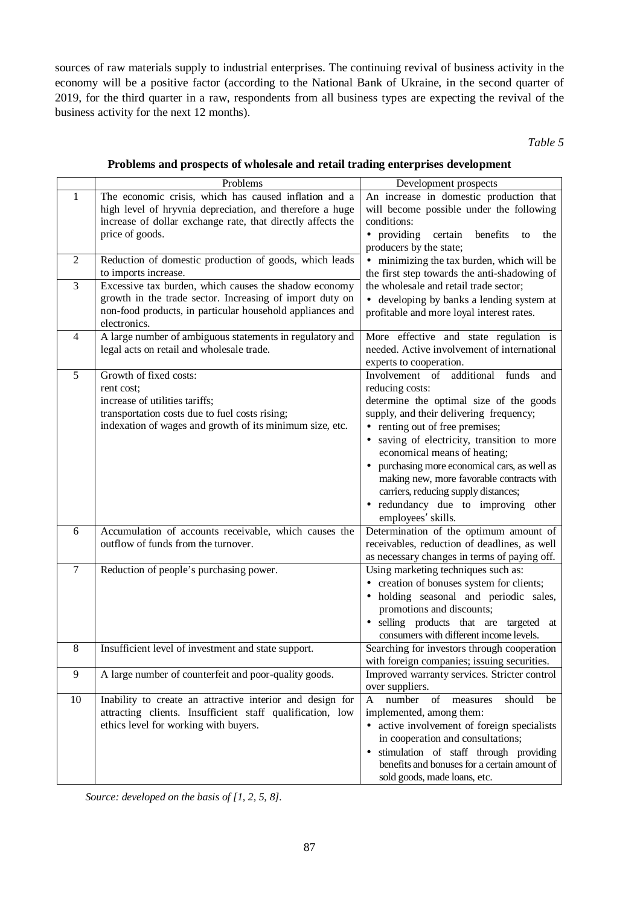sources of raw materials supply to industrial enterprises. The continuing revival of business activity in the economy will be a positive factor (according to the National Bank of Ukraine, in the second quarter of 2019, for the third quarter in a raw, respondents from all business types are expecting the revival of the business activity for the next 12 months).

*Table 5* 

| Problems and prospects of wholesale and retail trading enterprises development |  |  |  |
|--------------------------------------------------------------------------------|--|--|--|

|                | Problems                                                                                     | Development prospects                                                                      |
|----------------|----------------------------------------------------------------------------------------------|--------------------------------------------------------------------------------------------|
| 1              | The economic crisis, which has caused inflation and a                                        | An increase in domestic production that                                                    |
|                | high level of hryvnia depreciation, and therefore a huge                                     | will become possible under the following                                                   |
|                | increase of dollar exchange rate, that directly affects the                                  | conditions:                                                                                |
|                | price of goods.                                                                              | • providing<br>certain<br>benefits<br>the<br>to                                            |
| $\mathfrak{2}$ | Reduction of domestic production of goods, which leads                                       | producers by the state;                                                                    |
|                | to imports increase.                                                                         | • minimizing the tax burden, which will be<br>the first step towards the anti-shadowing of |
| 3              | Excessive tax burden, which causes the shadow economy                                        | the wholesale and retail trade sector;                                                     |
|                | growth in the trade sector. Increasing of import duty on                                     | • developing by banks a lending system at                                                  |
|                | non-food products, in particular household appliances and                                    | profitable and more loyal interest rates.                                                  |
|                | electronics.                                                                                 |                                                                                            |
| 4              | A large number of ambiguous statements in regulatory and                                     | More effective and state regulation is                                                     |
|                | legal acts on retail and wholesale trade.                                                    | needed. Active involvement of international                                                |
|                |                                                                                              | experts to cooperation.                                                                    |
| $\overline{5}$ | Growth of fixed costs:                                                                       | additional<br>Involvement of<br>funds<br>and<br>reducing costs:                            |
|                | rent cost;<br>increase of utilities tariffs;                                                 | determine the optimal size of the goods                                                    |
|                | transportation costs due to fuel costs rising;                                               | supply, and their delivering frequency;                                                    |
|                | indexation of wages and growth of its minimum size, etc.                                     | • renting out of free premises;                                                            |
|                |                                                                                              | saving of electricity, transition to more                                                  |
|                |                                                                                              | economical means of heating;                                                               |
|                |                                                                                              | purchasing more economical cars, as well as                                                |
|                |                                                                                              | making new, more favorable contracts with                                                  |
|                |                                                                                              | carriers, reducing supply distances;                                                       |
|                |                                                                                              | • redundancy due to improving<br>other                                                     |
|                |                                                                                              | employees' skills.                                                                         |
| 6              | Accumulation of accounts receivable, which causes the<br>outflow of funds from the turnover. | Determination of the optimum amount of<br>receivables, reduction of deadlines, as well     |
|                |                                                                                              | as necessary changes in terms of paying off.                                               |
| $\overline{7}$ | Reduction of people's purchasing power.                                                      | Using marketing techniques such as:                                                        |
|                |                                                                                              | • creation of bonuses system for clients;                                                  |
|                |                                                                                              | · holding seasonal and periodic sales,                                                     |
|                |                                                                                              | promotions and discounts;                                                                  |
|                |                                                                                              | · selling products that are targeted at                                                    |
|                |                                                                                              | consumers with different income levels.                                                    |
| 8              | Insufficient level of investment and state support.                                          | Searching for investors through cooperation                                                |
|                |                                                                                              | with foreign companies; issuing securities.                                                |
| 9              | A large number of counterfeit and poor-quality goods.                                        | Improved warranty services. Stricter control                                               |
| 10             | Inability to create an attractive interior and design for                                    | over suppliers.<br>number<br>of measures<br>should<br>A<br>be                              |
|                | attracting clients. Insufficient staff qualification, low                                    | implemented, among them:                                                                   |
|                | ethics level for working with buyers.                                                        | • active involvement of foreign specialists                                                |
|                |                                                                                              | in cooperation and consultations;                                                          |
|                |                                                                                              | · stimulation of staff through providing                                                   |
|                |                                                                                              | benefits and bonuses for a certain amount of                                               |
|                |                                                                                              | sold goods, made loans, etc.                                                               |

*Source: developed on the basis of [1, 2, 5, 8].*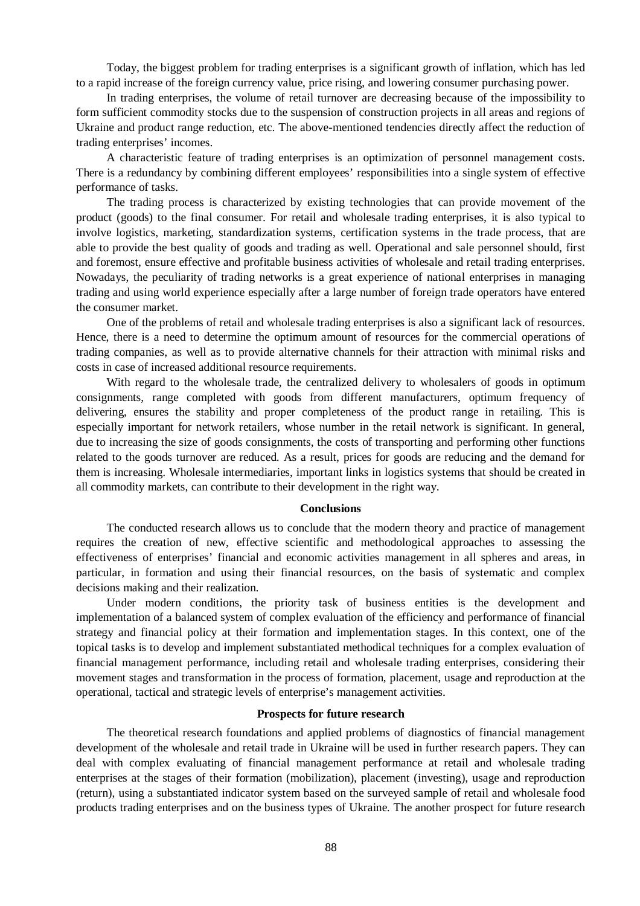Today, the biggest problem for trading enterprises is a significant growth of inflation, which has led to a rapid increase of the foreign currency value, price rising, and lowering consumer purchasing power.

In trading enterprises, the volume of retail turnover are decreasing because of the impossibility to form sufficient commodity stocks due to the suspension of construction projects in all areas and regions of Ukraine and product range reduction, etc. The above-mentioned tendencies directly affect the reduction of trading enterprises' incomes.

A characteristic feature of trading enterprises is an optimization of personnel management costs. There is a redundancy by combining different employees' responsibilities into a single system of effective performance of tasks.

The trading process is characterized by existing technologies that can provide movement of the product (goods) to the final consumer. For retail and wholesale trading enterprises, it is also typical to involve logistics, marketing, standardization systems, certification systems in the trade process, that are able to provide the best quality of goods and trading as well. Operational and sale personnel should, first and foremost, ensure effective and profitable business activities of wholesale and retail trading enterprises. Nowadays, the peculiarity of trading networks is a great experience of national enterprises in managing trading and using world experience especially after a large number of foreign trade operators have entered the consumer market.

One of the problems of retail and wholesale trading enterprises is also a significant lack of resources. Hence, there is a need to determine the optimum amount of resources for the commercial operations of trading companies, as well as to provide alternative channels for their attraction with minimal risks and costs in case of increased additional resource requirements.

With regard to the wholesale trade, the centralized delivery to wholesalers of goods in optimum consignments, range completed with goods from different manufacturers, optimum frequency of delivering, ensures the stability and proper completeness of the product range in retailing. This is especially important for network retailers, whose number in the retail network is significant. In general, due to increasing the size of goods consignments, the costs of transporting and performing other functions related to the goods turnover are reduced. As a result, prices for goods are reducing and the demand for them is increasing. Wholesale intermediaries, important links in logistics systems that should be created in all commodity markets, can contribute to their development in the right way.

### **Conclusions**

The conducted research allows us to conclude that the modern theory and practice of management requires the creation of new, effective scientific and methodological approaches to assessing the effectiveness of enterprises' financial and economic activities management in all spheres and areas, in particular, in formation and using their financial resources, on the basis of systematic and complex decisions making and their realization.

Under modern conditions, the priority task of business entities is the development and implementation of a balanced system of complex evaluation of the efficiency and performance of financial strategy and financial policy at their formation and implementation stages. In this context, one of the topical tasks is to develop and implement substantiated methodical techniques for a complex evaluation of financial management performance, including retail and wholesale trading enterprises, considering their movement stages and transformation in the process of formation, placement, usage and reproduction at the operational, tactical and strategic levels of enterprise's management activities.

#### **Prospects for future research**

The theoretical research foundations and applied problems of diagnostics of financial management development of the wholesale and retail trade in Ukraine will be used in further research papers. They can deal with complex evaluating of financial management performance at retail and wholesale trading enterprises at the stages of their formation (mobilization), placement (investing), usage and reproduction (return), using a substantiated indicator system based on the surveyed sample of retail and wholesale food products trading enterprises and on the business types of Ukraine. The another prospect for future research